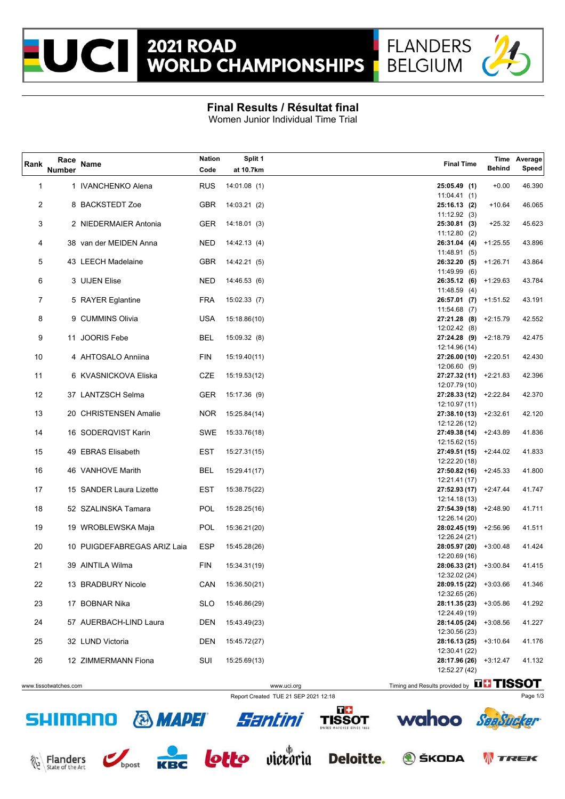



## **Final Results / Résultat final**

Women Junior Individual Time Trial

| Rank     | Race<br><b>Number</b> | <b>Name</b>                                       | <b>Nation</b><br>Code | Split 1<br>at 10.7km         | <b>Final Time</b>                                                 | <b>Behind</b> | Time Average<br>Speed |
|----------|-----------------------|---------------------------------------------------|-----------------------|------------------------------|-------------------------------------------------------------------|---------------|-----------------------|
| 1        |                       | 1 IVANCHENKO Alena                                | <b>RUS</b>            | 14:01.08(1)                  | 25:05.49 (1)                                                      | $+0.00$       | 46.390                |
| 2        |                       | 8 BACKSTEDT Zoe                                   | GBR                   | 14:03.21(2)                  | 11:04.41(1)<br>25:16.13 (2)                                       | $+10.64$      | 46.065                |
| 3        |                       | 2 NIEDERMAIER Antonia                             | GER                   | 14:18.01(3)                  | 11:12.92(3)<br>25:30.81 (3)                                       | $+25.32$      | 45.623                |
| 4        |                       | 38 van der MEIDEN Anna                            | <b>NED</b>            | 14:42.13(4)                  | 11:12.80(2)<br>26:31.04 (4) +1:25.55                              |               | 43.896                |
| 5        |                       | 43 LEECH Madelaine                                | GBR                   | 14:42.21 (5)                 | 11:48.91(5)<br>26:32.20 (5) +1:26.71                              |               | 43.864                |
| 6        |                       | 3 UIJEN Elise                                     | <b>NED</b>            | 14:46.53 (6)                 | 11:49.99(6)<br>$26:35.12$ (6) $+1:29.63$<br>11:48.59(4)           |               | 43.784                |
| 7        |                       | 5 RAYER Eglantine                                 | FRA                   | 15:02.33 (7)                 | $26:57.01$ (7) $+1:51.52$<br>11:54.68(7)                          |               | 43.191                |
| 8        |                       | 9 CUMMINS Olivia                                  | <b>USA</b>            | 15:18.86(10)                 | 27:21.28 (8) +2:15.79<br>12:02.42(8)                              |               | 42.552                |
| 9        |                       | 11 JOORIS Febe                                    | BEL                   | 15:09.32 (8)                 | 27:24.28 (9) +2:18.79<br>12:14.96 (14)                            |               | 42.475                |
| 10       |                       | 4 AHTOSALO Anniina                                | <b>FIN</b>            | 15:19.40(11)                 | $27:26.00(10)$ +2:20.51<br>12:06.60(9)                            |               | 42.430                |
| 11       |                       | 6 KVASNICKOVA Eliska                              | <b>CZE</b>            | 15:19.53(12)                 | 27:27.32 (11) +2:21.83<br>12:07.79 (10)                           |               | 42.396                |
| 12       |                       | 37 LANTZSCH Selma                                 | GER                   | 15:17.36 (9)                 | 27:28.33 (12) +2:22.84<br>12:10.97 (11)                           |               | 42.370                |
| 13       |                       | 20 CHRISTENSEN Amalie                             | <b>NOR</b>            | 15:25.84(14)                 | $27:38.10(13)$ +2:32.61<br>12:12.26 (12)                          |               | 42.120                |
| 14       |                       | 16 SODERQVIST Karin                               | SWE                   | 15:33.76(18)                 | 27:49.38 (14) +2:43.89<br>12:15.62 (15)                           |               | 41.836                |
| 15       |                       | 49 EBRAS Elisabeth                                | <b>EST</b>            | 15:27.31(15)                 | 27:49.51 (15) +2:44.02<br>12:22.20 (18)                           |               | 41.833                |
| 16       |                       | 46 VANHOVE Marith                                 | BEL                   | 15:29.41(17)                 | $27:50.82(16)$ +2:45.33<br>12:21.41 (17)                          |               | 41.800                |
| 17       |                       | 15 SANDER Laura Lizette                           | <b>EST</b>            | 15:38.75(22)                 | 27:52.93 (17) +2:47.44<br>12:14.18 (13)                           |               | 41.747                |
| 18<br>19 |                       | 52 SZALINSKA Tamara                               | POL                   | 15:28.25(16)                 | 27:54.39 (18) +2:48.90<br>12:26.14 (20)<br>28:02.45 (19) +2:56.96 |               | 41.711                |
| 20       |                       | 19 WROBLEWSKA Maja<br>10 PUIGDEFABREGAS ARIZ Laia | POL<br>ESP            | 15:36.21(20)<br>15:45.28(26) | 12:26.24 (21)<br>28:05.97 (20) +3:00.48                           |               | 41.511<br>41.424      |
| 21       |                       | 39 AINTILA Wilma                                  | FIN                   | 15:34.31(19)                 | 12:20.69 (16)<br>28:06.33 (21) +3:00.84                           |               | 41.415                |
| 22       |                       | 13 BRADBURY Nicole                                | CAN                   | 15:36.50(21)                 | 12:32.02 (24)<br>28:09.15 (22) +3:03.66                           |               | 41.346                |
| 23       |                       | 17 BOBNAR Nika                                    | <b>SLO</b>            | 15:46.86(29)                 | 12:32.65 (26)<br>28:11.35 (23) +3:05.86                           |               | 41.292                |
| 24       |                       | 57 AUERBACH-LIND Laura                            | DEN                   | 15:43.49(23)                 | 12:24.49 (19)<br>28:14.05 (24)                                    | $+3:08.56$    | 41.227                |
| 25       |                       | 32 LUND Victoria                                  | <b>DEN</b>            | 15:45.72(27)                 | 12:30.56 (23)<br>28:16.13 (25) +3:10.64                           |               | 41.176                |
| 26       |                       | 12 ZIMMERMANN Fiona                               | SUI                   | 15:25.69(13)                 | 12:30.41 (22)<br>28:17.96 (26) +3:12.47                           |               | 41.132                |
|          |                       |                                                   |                       |                              | 12:52.27 (42)                                                     | FE FICCOT     |                       |

Report Created TUE 21 SEP 2021 12:18 Page 1/3

www.tissotwatches.com **WWW.uci.org Timing and Results provided by LILITIOOUI** 









 $\sqrt{1 + \frac{1}{2}}$ 







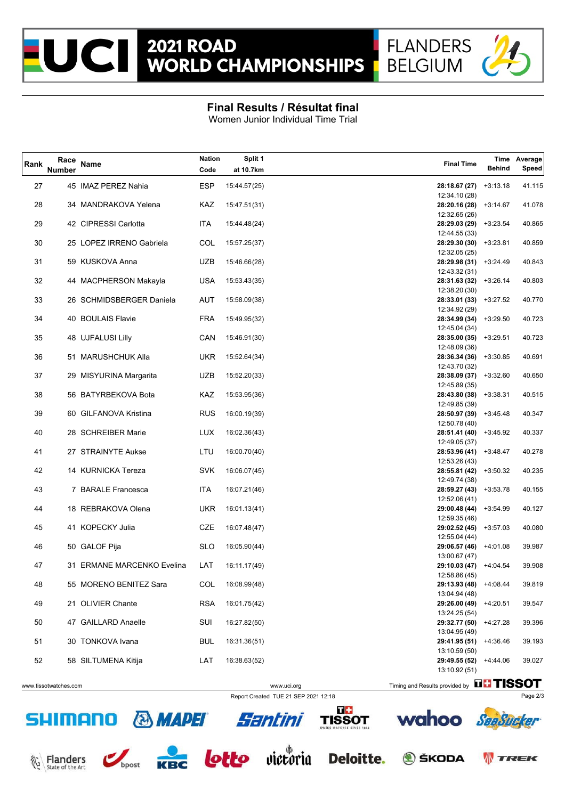



## **Final Results / Résultat final**

Women Junior Individual Time Trial

| Rank | Race<br><b>Number</b> | Name                       | <b>Nation</b><br>Code | Split 1<br>at 10.7km | <b>Final Time</b>                                            | <b>Behind</b> | Time Average<br>Speed |
|------|-----------------------|----------------------------|-----------------------|----------------------|--------------------------------------------------------------|---------------|-----------------------|
| 27   |                       | 45 IMAZ PEREZ Nahia        | ESP                   | 15:44.57(25)         | 28:18.67 (27)                                                | $+3:13.18$    | 41.115                |
| 28   |                       | 34 MANDRAKOVA Yelena       | KAZ                   | 15:47.51(31)         | 12:34.10 (28)<br>28:20.16 (28) +3:14.67                      |               | 41.078                |
| 29   |                       | 42 CIPRESSI Carlotta       | <b>ITA</b>            | 15:44.48(24)         | 12:32.65 (26)<br>28:29.03 (29) +3:23.54                      |               | 40.865                |
|      |                       |                            |                       |                      | 12:44.55 (33)                                                |               |                       |
| 30   |                       | 25 LOPEZ IRRENO Gabriela   | COL                   | 15:57.25(37)         | 28:29.30 (30) +3:23.81<br>12:32.05 (25)                      |               | 40.859                |
| 31   |                       | 59 KUSKOVA Anna            | <b>UZB</b>            | 15:46.66(28)         | 28:29.98 (31) +3:24.49                                       |               | 40.843                |
|      |                       |                            |                       |                      | 12:43.32 (31)                                                |               |                       |
| 32   |                       | 44 MACPHERSON Makayla      | USA                   | 15:53.43(35)         | 28:31.63 (32) +3:26.14                                       |               | 40.803                |
|      |                       |                            |                       |                      | 12:38.20 (30)                                                |               |                       |
| 33   |                       | 26 SCHMIDSBERGER Daniela   | <b>AUT</b>            | 15:58.09(38)         | 28:33.01 (33) +3:27.52<br>12:34.92 (29)                      |               | 40.770                |
| 34   |                       | 40 BOULAIS Flavie          | <b>FRA</b>            | 15:49.95(32)         | 28:34.99 (34) +3:29.50                                       |               | 40.723                |
|      |                       |                            |                       |                      | 12:45.04 (34)                                                |               |                       |
| 35   |                       | 48 UJFALUSI Lilly          | CAN                   | 15:46.91(30)         | 28:35.00 (35) +3:29.51                                       |               | 40.723                |
|      |                       |                            |                       |                      | 12:48.09 (36)                                                |               |                       |
| 36   |                       | 51 MARUSHCHUK Alla         | <b>UKR</b>            | 15:52.64(34)         | 28:36.34 (36) +3:30.85<br>12:43.70 (32)                      |               | 40.691                |
| 37   |                       | 29 MISYURINA Margarita     | <b>UZB</b>            | 15:52.20(33)         | 28:38.09 (37) +3:32.60                                       |               | 40.650                |
|      |                       |                            |                       |                      | 12:45.89 (35)                                                |               |                       |
| 38   |                       | 56 BATYRBEKOVA Bota        | KAZ                   | 15:53.95(36)         | 28:43.80 (38)                                                | +3:38.31      | 40.515                |
|      |                       |                            |                       |                      | 12:49.85 (39)                                                |               |                       |
| 39   |                       | 60 GILFANOVA Kristina      | <b>RUS</b>            | 16:00.19(39)         | 28:50.97 (39) +3:45.48<br>12:50.78 (40)                      |               | 40.347                |
| 40   |                       | 28 SCHREIBER Marie         | <b>LUX</b>            | 16:02.36(43)         | $28:51.41(40)$ +3:45.92                                      |               | 40.337                |
|      |                       |                            |                       |                      | 12:49.05 (37)                                                |               |                       |
| 41   |                       | 27 STRAINYTE Aukse         | LTU                   | 16:00.70(40)         | $28:53.96(41)$ +3:48.47                                      |               | 40.278                |
|      |                       |                            |                       |                      | 12:53.26 (43)                                                |               |                       |
| 42   |                       | 14 KURNICKA Tereza         | <b>SVK</b>            | 16:06.07(45)         | 28:55.81 (42) +3:50.32<br>12:49.74 (38)                      |               | 40.235                |
| 43   |                       | 7 BARALE Francesca         | <b>ITA</b>            | 16:07.21(46)         | 28:59.27 (43) +3:53.78                                       |               | 40.155                |
|      |                       |                            |                       |                      | 12:52.06 (41)                                                |               |                       |
| 44   |                       | 18 REBRAKOVA Olena         | <b>UKR</b>            | 16:01.13(41)         | 29:00.48 (44)                                                | +3:54.99      | 40.127                |
|      |                       | 41 KOPECKY Julia           |                       |                      | 12:59.35 (46)                                                |               |                       |
| 45   |                       |                            | <b>CZE</b>            | 16:07.48(47)         | 29:02.52 (45) +3:57.03<br>12:55.04 (44)                      |               | 40.080                |
| 46   |                       | 50 GALOF Pija              | <b>SLO</b>            | 16:05.90(44)         | 29:06.57 (46) +4:01.08                                       |               | 39.987                |
|      |                       |                            |                       |                      | 13:00.67 (47)                                                |               |                       |
| 47   |                       | 31 ERMANE MARCENKO Evelina | LAT                   | 16:11.17(49)         | 29:10.03 (47) +4:04.54                                       |               | 39.908                |
| 48   |                       |                            | COL                   |                      | 12:58.86 (45)<br>29:13.93 (48)                               | $+4:08.44$    |                       |
|      |                       | 55 MORENO BENITEZ Sara     |                       | 16:08.99(48)         | 13:04.94 (48)                                                |               | 39.819                |
| 49   |                       | 21 OLIVIER Chante          | <b>RSA</b>            | 16:01.75(42)         | 29:26.00 (49)                                                | $+4:20.51$    | 39.547                |
|      |                       |                            |                       |                      | 13:24.25 (54)                                                |               |                       |
| 50   |                       | 47 GAILLARD Anaelle        | SUI                   | 16:27.82(50)         | 29:32.77 (50)                                                | $+4:27.28$    | 39.396                |
| 51   |                       | 30 TONKOVA Ivana           | <b>BUL</b>            | 16:31.36(51)         | 13:04.95 (49)<br>29:41.95 (51) +4:36.46                      |               | 39.193                |
|      |                       |                            |                       |                      | 13:10.59 (50)                                                |               |                       |
| 52   |                       | 58 SILTUMENA Kitija        | LAT                   | 16:38.63(52)         | 29:49.55 (52) +4:44.06                                       |               | 39.027                |
|      |                       |                            |                       |                      | 13:10.92 (51)                                                |               |                       |
|      | www.tissotwatches.com |                            |                       |                      | Timing and Results provided by <b>FFISSOT</b><br>www.uci.org |               |                       |









**WIREK**